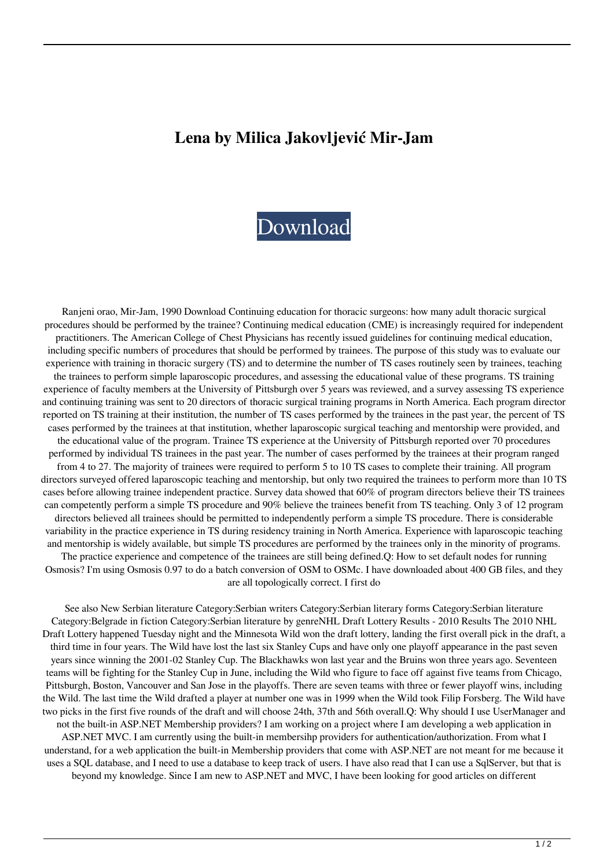## **Lena by Milica Jakovljević Mir-Jam**



Ranjeni orao, Mir-Jam, 1990 Download Continuing education for thoracic surgeons: how many adult thoracic surgical procedures should be performed by the trainee? Continuing medical education (CME) is increasingly required for independent practitioners. The American College of Chest Physicians has recently issued guidelines for continuing medical education, including specific numbers of procedures that should be performed by trainees. The purpose of this study was to evaluate our experience with training in thoracic surgery (TS) and to determine the number of TS cases routinely seen by trainees, teaching the trainees to perform simple laparoscopic procedures, and assessing the educational value of these programs. TS training experience of faculty members at the University of Pittsburgh over 5 years was reviewed, and a survey assessing TS experience and continuing training was sent to 20 directors of thoracic surgical training programs in North America. Each program director reported on TS training at their institution, the number of TS cases performed by the trainees in the past year, the percent of TS cases performed by the trainees at that institution, whether laparoscopic surgical teaching and mentorship were provided, and the educational value of the program. Trainee TS experience at the University of Pittsburgh reported over 70 procedures performed by individual TS trainees in the past year. The number of cases performed by the trainees at their program ranged from 4 to 27. The majority of trainees were required to perform 5 to 10 TS cases to complete their training. All program directors surveyed offered laparoscopic teaching and mentorship, but only two required the trainees to perform more than 10 TS cases before allowing trainee independent practice. Survey data showed that 60% of program directors believe their TS trainees can competently perform a simple TS procedure and 90% believe the trainees benefit from TS teaching. Only 3 of 12 program directors believed all trainees should be permitted to independently perform a simple TS procedure. There is considerable variability in the practice experience in TS during residency training in North America. Experience with laparoscopic teaching and mentorship is widely available, but simple TS procedures are performed by the trainees only in the minority of programs. The practice experience and competence of the trainees are still being defined.Q: How to set default nodes for running Osmosis? I'm using Osmosis 0.97 to do a batch conversion of OSM to OSMc. I have downloaded about 400 GB files, and they are all topologically correct. I first do

See also New Serbian literature Category:Serbian writers Category:Serbian literary forms Category:Serbian literature Category:Belgrade in fiction Category:Serbian literature by genreNHL Draft Lottery Results - 2010 Results The 2010 NHL Draft Lottery happened Tuesday night and the Minnesota Wild won the draft lottery, landing the first overall pick in the draft, a third time in four years. The Wild have lost the last six Stanley Cups and have only one playoff appearance in the past seven years since winning the 2001-02 Stanley Cup. The Blackhawks won last year and the Bruins won three years ago. Seventeen teams will be fighting for the Stanley Cup in June, including the Wild who figure to face off against five teams from Chicago, Pittsburgh, Boston, Vancouver and San Jose in the playoffs. There are seven teams with three or fewer playoff wins, including the Wild. The last time the Wild drafted a player at number one was in 1999 when the Wild took Filip Forsberg. The Wild have two picks in the first five rounds of the draft and will choose 24th, 37th and 56th overall.Q: Why should I use UserManager and not the built-in ASP.NET Membership providers? I am working on a project where I am developing a web application in ASP.NET MVC. I am currently using the built-in membersihp providers for authentication/authorization. From what I understand, for a web application the built-in Membership providers that come with ASP.NET are not meant for me because it uses a SQL database, and I need to use a database to keep track of users. I have also read that I can use a SqlServer, but that is beyond my knowledge. Since I am new to ASP.NET and MVC, I have been looking for good articles on different